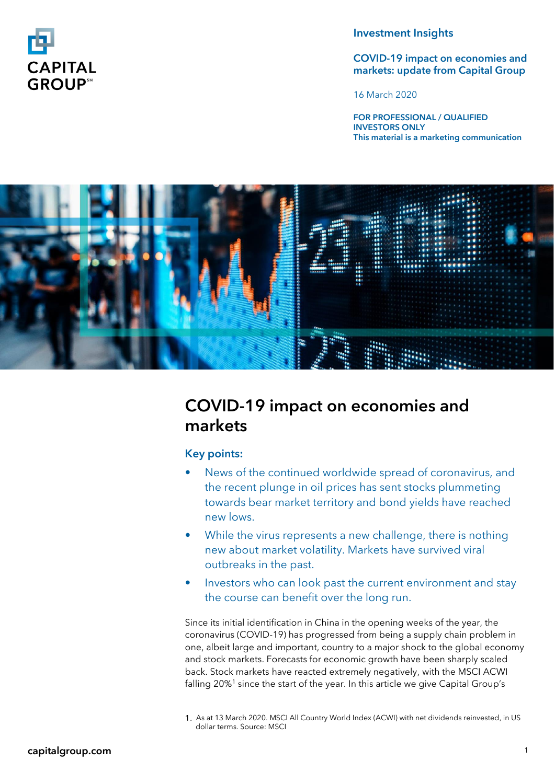

## Investment Insights

## COVID-19 impact on economies and markets: update from Capital Group

16 March 2020

FOR PROFESSIONAL / QUALIFIED INVESTORS ONLY This material is a marketing communication



# COVID-19 impact on economies and markets

# Key points:

- News of the continued worldwide spread of coronavirus, and the recent plunge in oil prices has sent stocks plummeting towards bear market territory and bond yields have reached new lows.
- While the virus represents a new challenge, there is nothing new about market volatility. Markets have survived viral outbreaks in the past.
- Investors who can look past the current environment and stay the course can benefit over the long run.

Since its initial identification in China in the opening weeks of the year, the coronavirus (COVID-19) has progressed from being a supply chain problem in one, albeit large and important, country to a major shock to the global economy and stock markets. Forecasts for economic growth have been sharply scaled back. Stock markets have reacted extremely negatively, with the MSCI ACWI falling 20%<sup>1</sup> since the start of the year. In this article we give Capital Group's

1. As at 13 March 2020. MSCI All Country World Index (ACWI) with net dividends reinvested, in US dollar terms. Source: MSCI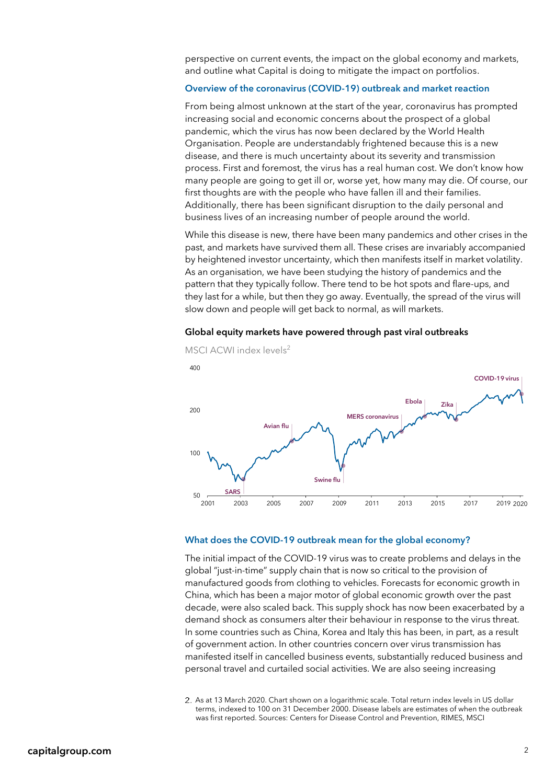perspective on current events, the impact on the global economy and markets, and outline what Capital is doing to mitigate the impact on portfolios.

#### Overview of the coronavirus (COVID-19) outbreak and market reaction

From being almost unknown at the start of the year, coronavirus has prompted increasing social and economic concerns about the prospect of a global pandemic, which the virus has now been declared by the World Health Organisation. People are understandably frightened because this is a new disease, and there is much uncertainty about its severity and transmission process. First and foremost, the virus has a real human cost. We don't know how many people are going to get ill or, worse yet, how many may die. Of course, our first thoughts are with the people who have fallen ill and their families. Additionally, there has been significant disruption to the daily personal and business lives of an increasing number of people around the world.

While this disease is new, there have been many pandemics and other crises in the past, and markets have survived them all. These crises are invariably accompanied by heightened investor uncertainty, which then manifests itself in market volatility. As an organisation, we have been studying the history of pandemics and the pattern that they typically follow. There tend to be hot spots and flare-ups, and they last for a while, but then they go away. Eventually, the spread of the virus will slow down and people will get back to normal, as will markets.





#### MSCI ACWI index levels<sup>2</sup>

#### What does the COVID-19 outbreak mean for the global economy?

The initial impact of the COVID-19 virus was to create problems and delays in the global "just-in-time" supply chain that is now so critical to the provision of manufactured goods from clothing to vehicles. Forecasts for economic growth in China, which has been a major motor of global economic growth over the past decade, were also scaled back. This supply shock has now been exacerbated by a demand shock as consumers alter their behaviour in response to the virus threat. In some countries such as China, Korea and Italy this has been, in part, as a result of government action. In other countries concern over virus transmission has manifested itself in cancelled business events, substantially reduced business and personal travel and curtailed social activities. We are also seeing increasing

2. As at 13 March 2020. Chart shown on a logarithmic scale. Total return index levels in US dollar terms, indexed to 100 on 31 December 2000. Disease labels are estimates of when the outbreak was first reported. Sources: Centers for Disease Control and Prevention, RIMES, MSCI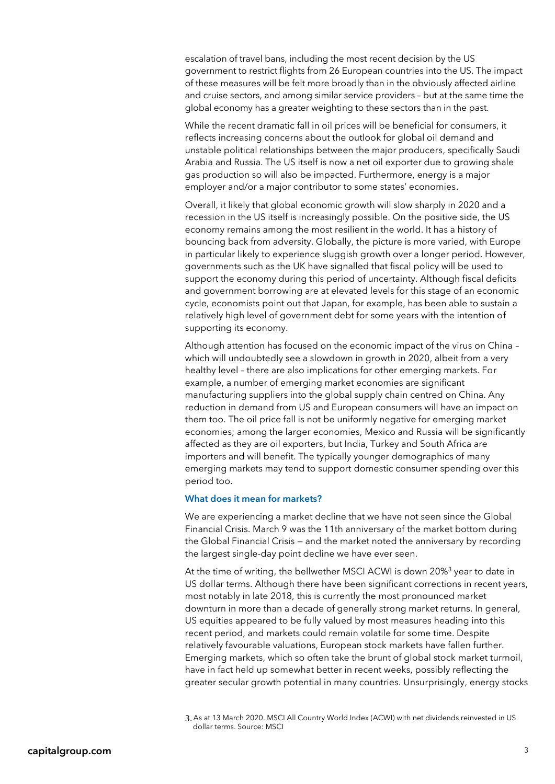escalation of travel bans, including the most recent decision by the US government to restrict flights from 26 European countries into the US. The impact of these measures will be felt more broadly than in the obviously affected airline and cruise sectors, and among similar service providers – but at the same time the global economy has a greater weighting to these sectors than in the past.

While the recent dramatic fall in oil prices will be beneficial for consumers, it reflects increasing concerns about the outlook for global oil demand and unstable political relationships between the major producers, specifically Saudi Arabia and Russia. The US itself is now a net oil exporter due to growing shale gas production so will also be impacted. Furthermore, energy is a major employer and/or a major contributor to some states' economies.

Overall, it likely that global economic growth will slow sharply in 2020 and a recession in the US itself is increasingly possible. On the positive side, the US economy remains among the most resilient in the world. It has a history of bouncing back from adversity. Globally, the picture is more varied, with Europe in particular likely to experience sluggish growth over a longer period. However, governments such as the UK have signalled that fiscal policy will be used to support the economy during this period of uncertainty. Although fiscal deficits and government borrowing are at elevated levels for this stage of an economic cycle, economists point out that Japan, for example, has been able to sustain a relatively high level of government debt for some years with the intention of supporting its economy.

Although attention has focused on the economic impact of the virus on China – which will undoubtedly see a slowdown in growth in 2020, albeit from a very healthy level – there are also implications for other emerging markets. For example, a number of emerging market economies are significant manufacturing suppliers into the global supply chain centred on China. Any reduction in demand from US and European consumers will have an impact on them too. The oil price fall is not be uniformly negative for emerging market economies; among the larger economies, Mexico and Russia will be significantly affected as they are oil exporters, but India, Turkey and South Africa are importers and will benefit. The typically younger demographics of many emerging markets may tend to support domestic consumer spending over this period too.

#### What does it mean for markets?

We are experiencing a market decline that we have not seen since the Global Financial Crisis. March 9 was the 11th anniversary of the market bottom during the Global Financial Crisis — and the market noted the anniversary by recording the largest single-day point decline we have ever seen.

At the time of writing, the bellwether MSCI ACWI is down 20%<sup>3</sup> year to date in US dollar terms. Although there have been significant corrections in recent years, most notably in late 2018, this is currently the most pronounced market downturn in more than a decade of generally strong market returns. In general, US equities appeared to be fully valued by most measures heading into this recent period, and markets could remain volatile for some time. Despite relatively favourable valuations, European stock markets have fallen further. Emerging markets, which so often take the brunt of global stock market turmoil, have in fact held up somewhat better in recent weeks, possibly reflecting the greater secular growth potential in many countries. Unsurprisingly, energy stocks

<sup>3.</sup> As at 13 March 2020. MSCI All Country World Index (ACWI) with net dividends reinvested in US dollar terms. Source: MSCI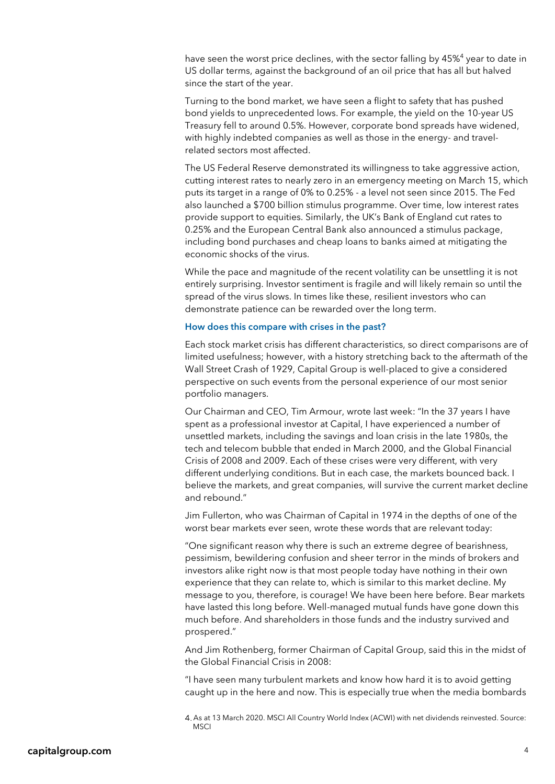have seen the worst price declines, with the sector falling by 45%<sup>4</sup> year to date in US dollar terms, against the background of an oil price that has all but halved since the start of the year.

Turning to the bond market, we have seen a flight to safety that has pushed bond yields to unprecedented lows. For example, the yield on the 10-year US Treasury fell to around 0.5%. However, corporate bond spreads have widened, with highly indebted companies as well as those in the energy- and travelrelated sectors most affected.

The US Federal Reserve demonstrated its willingness to take aggressive action, cutting interest rates to nearly zero in an emergency meeting on March 15, which puts its target in a range of 0% to 0.25% - a level not seen since 2015. The Fed also launched a \$700 billion stimulus programme. Over time, low interest rates provide support to equities. Similarly, the UK's Bank of England cut rates to 0.25% and the European Central Bank also announced a stimulus package, including bond purchases and cheap loans to banks aimed at mitigating the economic shocks of the virus.

While the pace and magnitude of the recent volatility can be unsettling it is not entirely surprising. Investor sentiment is fragile and will likely remain so until the spread of the virus slows. In times like these, resilient investors who can demonstrate patience can be rewarded over the long term.

#### How does this compare with crises in the past?

Each stock market crisis has different characteristics, so direct comparisons are of limited usefulness; however, with a history stretching back to the aftermath of the Wall Street Crash of 1929, Capital Group is well-placed to give a considered perspective on such events from the personal experience of our most senior portfolio managers.

Our Chairman and CEO, Tim Armour, wrote last week: "In the 37 years I have spent as a professional investor at Capital, I have experienced a number of unsettled markets, including the savings and loan crisis in the late 1980s, the tech and telecom bubble that ended in March 2000, and the Global Financial Crisis of 2008 and 2009. Each of these crises were very different, with very different underlying conditions. But in each case, the markets bounced back. I believe the markets, and great companies, will survive the current market decline and rebound."

Jim Fullerton, who was Chairman of Capital in 1974 in the depths of one of the worst bear markets ever seen, wrote these words that are relevant today:

"One significant reason why there is such an extreme degree of bearishness, pessimism, bewildering confusion and sheer terror in the minds of brokers and investors alike right now is that most people today have nothing in their own experience that they can relate to, which is similar to this market decline. My message to you, therefore, is courage! We have been here before. Bear markets have lasted this long before. Well-managed mutual funds have gone down this much before. And shareholders in those funds and the industry survived and prospered."

And Jim Rothenberg, former Chairman of Capital Group, said this in the midst of the Global Financial Crisis in 2008:

"I have seen many turbulent markets and know how hard it is to avoid getting caught up in the here and now. This is especially true when the media bombards

As at 13 March 2020. MSCI All Country World Index (ACWI) with net dividends reinvested. Source: MSCI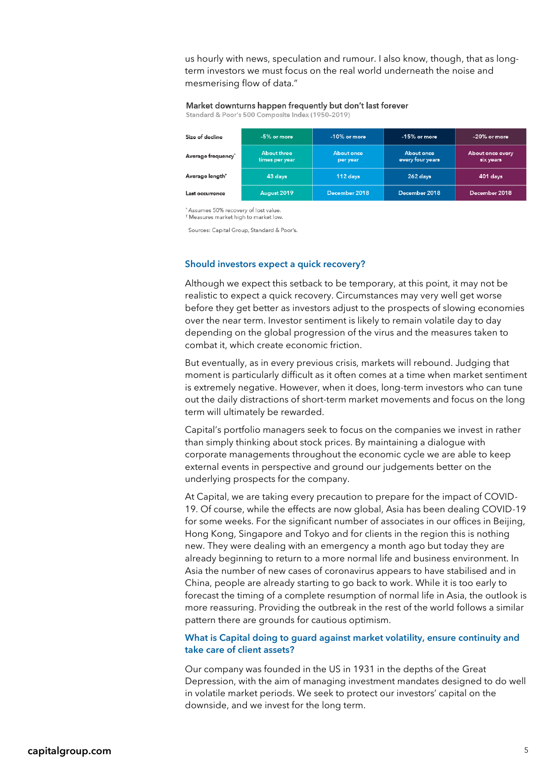us hourly with news, speculation and rumour. I also know, though, that as longterm investors we must focus on the real world underneath the noise and mesmerising flow of data."

# Market downturns happen frequently but don't last forever

Standard & Poor's 500 Composite Index (1950-2019)

| Size of decline                | $-5%$ or more                  | $-10\%$ or more        | $-15\%$ or more                | $-20\%$ or more               |
|--------------------------------|--------------------------------|------------------------|--------------------------------|-------------------------------|
| Average frequency <sup>*</sup> | About three<br>times per year. | About once<br>per year | About once<br>every four years | About once every<br>six years |
| Average length <sup>†</sup>    | 43 days                        | $112$ days             | $262$ days                     | 401 days                      |
| Last occurrence                | August 2019                    | December 2018          | December 2018                  | December 2018                 |

Assumes 50% recovery of lost value. <sup>†</sup> Measures market high to market low

Sources: Capital Group, Standard & Poor's.

#### Should investors expect a quick recovery?

Although we expect this setback to be temporary, at this point, it may not be realistic to expect a quick recovery. Circumstances may very well get worse before they get better as investors adjust to the prospects of slowing economies over the near term. Investor sentiment is likely to remain volatile day to day depending on the global progression of the virus and the measures taken to combat it, which create economic friction.

But eventually, as in every previous crisis, markets will rebound. Judging that moment is particularly difficult as it often comes at a time when market sentiment is extremely negative. However, when it does, long-term investors who can tune out the daily distractions of short-term market movements and focus on the long term will ultimately be rewarded.

Capital's portfolio managers seek to focus on the companies we invest in rather than simply thinking about stock prices. By maintaining a dialogue with corporate managements throughout the economic cycle we are able to keep external events in perspective and ground our judgements better on the underlying prospects for the company.

At Capital, we are taking every precaution to prepare for the impact of COVID-19. Of course, while the effects are now global, Asia has been dealing COVID-19 for some weeks. For the significant number of associates in our offices in Beijing, Hong Kong, Singapore and Tokyo and for clients in the region this is nothing new. They were dealing with an emergency a month ago but today they are already beginning to return to a more normal life and business environment. In Asia the number of new cases of coronavirus appears to have stabilised and in China, people are already starting to go back to work. While it is too early to forecast the timing of a complete resumption of normal life in Asia, the outlook is more reassuring. Providing the outbreak in the rest of the world follows a similar pattern there are grounds for cautious optimism.

### What is Capital doing to guard against market volatility, ensure continuity and take care of client assets?

Our company was founded in the US in 1931 in the depths of the Great Depression, with the aim of managing investment mandates designed to do well in volatile market periods. We seek to protect our investors' capital on the downside, and we invest for the long term.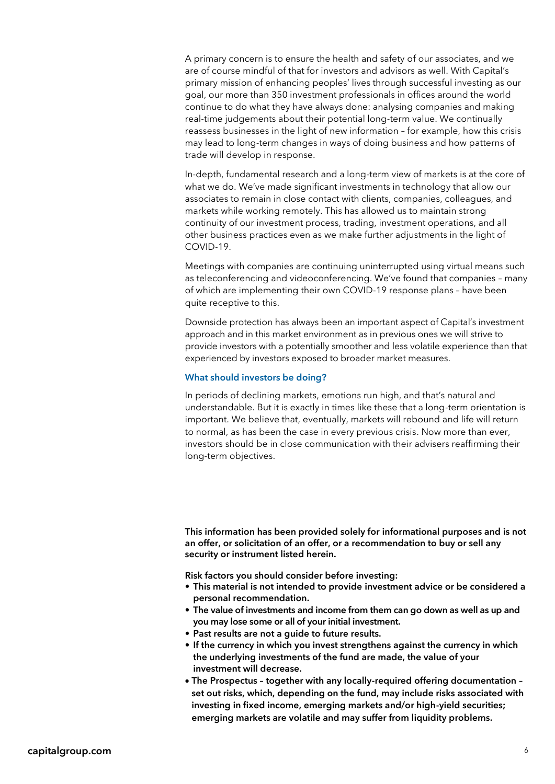A primary concern is to ensure the health and safety of our associates, and we are of course mindful of that for investors and advisors as well. With Capital's primary mission of enhancing peoples' lives through successful investing as our goal, our more than 350 investment professionals in offices around the world continue to do what they have always done: analysing companies and making real-time judgements about their potential long-term value. We continually reassess businesses in the light of new information – for example, how this crisis may lead to long-term changes in ways of doing business and how patterns of trade will develop in response.

In-depth, fundamental research and a long-term view of markets is at the core of what we do. We've made significant investments in technology that allow our associates to remain in close contact with clients, companies, colleagues, and markets while working remotely. This has allowed us to maintain strong continuity of our investment process, trading, investment operations, and all other business practices even as we make further adjustments in the light of COVID-19.

Meetings with companies are continuing uninterrupted using virtual means such as teleconferencing and videoconferencing. We've found that companies – many of which are implementing their own COVID-19 response plans – have been quite receptive to this.

Downside protection has always been an important aspect of Capital's investment approach and in this market environment as in previous ones we will strive to provide investors with a potentially smoother and less volatile experience than that experienced by investors exposed to broader market measures.

#### What should investors be doing?

In periods of declining markets, emotions run high, and that's natural and understandable. But it is exactly in times like these that a long-term orientation is important. We believe that, eventually, markets will rebound and life will return to normal, as has been the case in every previous crisis. Now more than ever, investors should be in close communication with their advisers reaffirming their long-term objectives.

This information has been provided solely for informational purposes and is not an offer, or solicitation of an offer, or a recommendation to buy or sell any security or instrument listed herein.

Risk factors you should consider before investing:

- This material is not intended to provide investment advice or be considered a personal recommendation.
- The value of investments and income from them can go down as well as up and you may lose some or all of your initial investment.
- Past results are not a guide to future results.
- If the currency in which you invest strengthens against the currency in which the underlying investments of the fund are made, the value of your investment will decrease.
- The Prospectus together with any locally-required offering documentation set out risks, which, depending on the fund, may include risks associated with investing in fixed income, emerging markets and/or high-yield securities; emerging markets are volatile and may suffer from liquidity problems.